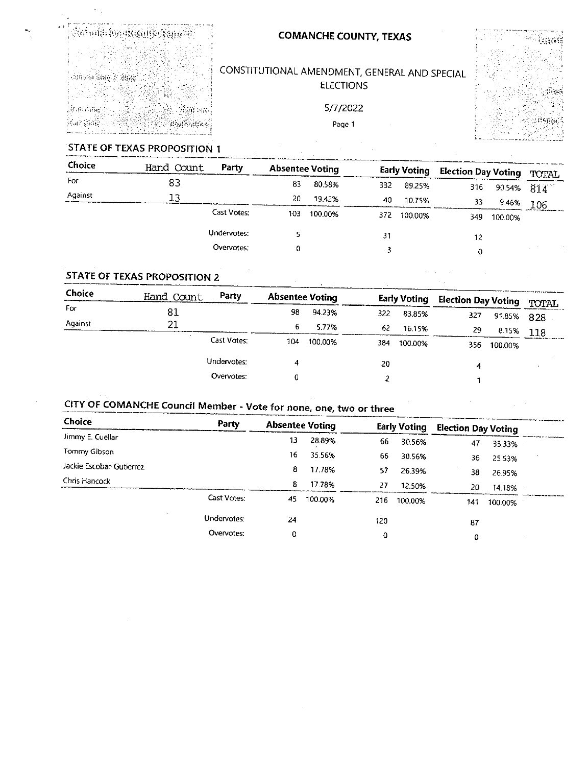

## **COMANCHE COUNTY, TEXAS**

# CONSTITUTIONAL AMENDMENT, GENERAL AND SPECIAL **ELECTIONS**

5/7/2022 Page 1



 $\ddot{\phantom{a}}$ 

## STATE OF TEXAS PROPOSITION 1

| Choice  | Hand Count | Party       | <b>Absentee Voting</b> |         | <b>Early Voting</b> |         | <b>Election Day Voting</b> | <b>TOTAL</b> |            |
|---------|------------|-------------|------------------------|---------|---------------------|---------|----------------------------|--------------|------------|
| For     | 83         |             | 83                     | 80.58%  | 332                 | 89.25%  | 316                        |              | 90.54% 814 |
| Against | 13         |             | 20                     | 19.42%  | 40                  | 1075%   | 33                         | 9.46%        | 106        |
|         |            | Cast Votes: | 10 <sub>3</sub>        | 100.00% | 372                 | 100.00% | 349.                       | 100.00%      |            |
|         |            | Undervotes: |                        |         | 31                  |         | 12                         |              |            |
|         |            | Overvotes:  |                        |         |                     |         | 0                          |              |            |
|         |            |             |                        |         |                     |         |                            |              |            |

 $\mathbf{r}$ 

### STATE OF TEXAS PROPOSITION 2

| Choice  | Hand Count | Party       | <b>Absentee Voting</b> |         | <b>Early Voting</b> |         | <b>Election Day Voting</b> | TOTAL      |     |
|---------|------------|-------------|------------------------|---------|---------------------|---------|----------------------------|------------|-----|
| For     | 81         |             | 98                     | 94.23%  | 322                 | 83.85%  | 327                        | 91.85% 828 |     |
| Against | 21         |             | 6                      | 5.77%   | 62                  | 16.15%  | 29                         | 8.15%      | 118 |
|         |            | Cast Votes: | 104                    | 100.00% | 384                 | 100.00% | 356                        | 100.00%    |     |
|         |            | Undervotes: |                        |         | 20                  |         | 4                          |            |     |
|         |            | Overvotes:  |                        |         |                     |         |                            |            |     |

# CITY OF COMANCHE Council Member - Vote for none, one, two or three

| Choice                   | Party       | <b>Absentee Voting</b> |         | <b>Early Voting</b> |         | <b>Election Day Voting</b> |         |  |
|--------------------------|-------------|------------------------|---------|---------------------|---------|----------------------------|---------|--|
| Jimmy E. Cuellar         |             | 13                     | 28.89%  | 66                  | 30.56%  | 47                         | 33.33%  |  |
| Tommy Gibson             |             | 16                     | 35.56%  | 66                  | 30.56%  | 36                         | 25.53%  |  |
| Jackie Escobar-Gutierrez |             | 8                      | 17.78%  | 57                  | 26.39%  | 38                         | 26.95%  |  |
| Chris Hancock            |             | 8                      | 17.78%  | -27                 | 12.50%  | 20                         | 14.18%  |  |
|                          | Cast Votes: | 45                     | 100.00% | 216                 | 100.00% | 141                        | 100.00% |  |
|                          | Undervotes: | 24                     |         | 120                 |         | 87                         |         |  |
|                          | Overvotes:  | 0                      |         | 0                   |         | 0                          |         |  |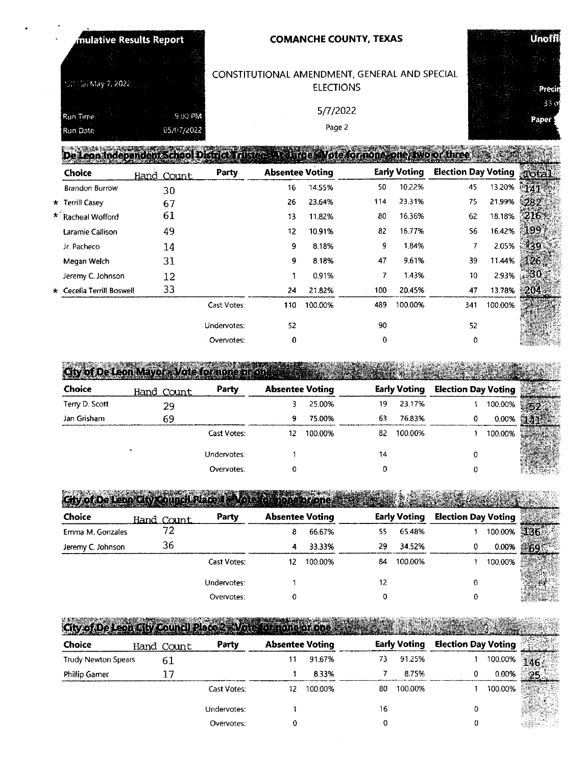| $\cdot$ | mulative Results Report |                |       | <b>COMANCHE COUNTY, TEXAS</b>                                                           |                                    |  | Uno  |
|---------|-------------------------|----------------|-------|-----------------------------------------------------------------------------------------|------------------------------------|--|------|
|         |                         |                |       | CONSTITUTIONAL AMENDMENT, GENERAL AND SPECIAL                                           |                                    |  |      |
|         | rutt ta: May 7, 2022 .  |                |       | <b>ELECTIONS</b>                                                                        |                                    |  | Pri  |
|         | Run Time                | <b>CRELEWA</b> |       | 5/7/2022                                                                                |                                    |  | Pape |
|         | Run Date                | 05/07/2022     |       | Page 2                                                                                  |                                    |  |      |
|         |                         |                |       | De Leon Independent school District Tristee whale rae avote for none come, two or three |                                    |  |      |
|         | $-1 - 1$                |                | ----- | . <i>.</i>                                                                              | Early Vation - Election Bouldeting |  |      |

| Choice                    | Hand Count | Party       | <b>Absentee Voting</b> |         |     | Early Voting | <b>Election Day Voting</b> |         | Total        |
|---------------------------|------------|-------------|------------------------|---------|-----|--------------|----------------------------|---------|--------------|
| <b>Brandon Burrow</b>     | 30         |             | 16                     | 14.55%  | 50  | 10.22%       | 45                         | 13.20%  | 短凶           |
| * Terrill Casey           | 67         |             | 26                     | 23.64%  | 114 | 23.31%       | 75                         | 21.99%  | -282         |
| * Racheal Wofford         | 61         |             | 13                     | 11.82%  | 80  | 16.36%       | 62                         | 18.18%  | $216*$       |
| Laramie Callison          | 49         |             | 12                     | 10.91%  | 82  | 16.77%       | 56                         | 16.42%  | $\sqrt{199}$ |
| Jr. Pacheco               | 14         |             | 9                      | 8.18%   | 9   | 1.84%        |                            | 2.05%   |              |
| Megan Welch               | 31         |             | 9                      | 8.18%   | 47  | 9.61%        | 39                         | 1144%   | 26           |
| Jeremy C. Johnson         | 12         |             |                        | 0.91%   | 7   | 1.43%        | 10                         | 2.93%   |              |
| * Cecelia Terrill Boswell | 33         |             | 24                     | 21.82%  | 100 | 20.45%       | 47                         | 13.78%  | 204          |
|                           |            | Cast Votes: | 110                    | 100.00% | 489 | 100.00%      | 341                        | 100.00% |              |
|                           |            | Undervotes: | 52                     |         | 90  |              | 52                         |         |              |
|                           |            | Overvotes:  | 0                      |         | 0   |              | 0                          |         |              |

City of De Leon Mayor - Vote for none or one るい

| Choice         | Hand Count | Party       | <b>Absentee Voting</b> |         |    | <b>Early Voting</b> | <b>Election Day Voting</b> |         |  |
|----------------|------------|-------------|------------------------|---------|----|---------------------|----------------------------|---------|--|
| Terry D. Scott | 29         |             |                        | 25.00%  | 19 | 23.17%              |                            | 100.00% |  |
| Jan Grisham    | 69         |             | 9.                     | 75.00%  | 63 | 76.83%              | o                          | 0.00%   |  |
|                |            | Cast Votes: | 12                     | 100.00% | 82 | 100.00%             |                            | 100.00% |  |
|                |            | Undervotes: |                        |         | 14 |                     |                            |         |  |
|                |            | Overvotes:  |                        |         |    |                     |                            |         |  |

City of De Leon City council Place 1 VATS AN **Article** *<u>Azənet</u>* 

| <b>Choice</b>     | Hand Count | Party              | <b>Absentee Voting</b> |         |    | <b>Early Voting</b> | <b>Election Day Voting</b> |         |  |
|-------------------|------------|--------------------|------------------------|---------|----|---------------------|----------------------------|---------|--|
| Emma M. Gonzales  | 72         |                    | 8                      | 66.67%  | 55 | 65.48%              |                            | 100.00% |  |
| Jeremy C. Johnson | 36         |                    | 4                      | 33.33%  | 29 | 34.52%              | 0                          | 0.00%   |  |
|                   |            | <b>Cast Votes:</b> | 12                     | 100.00% | 84 | 100.00%             |                            | 100.00% |  |
|                   |            | Undervotes:        |                        |         | 12 |                     |                            |         |  |
|                   |            | Overvotes:         |                        |         | ۱. |                     | 0                          |         |  |

City of De Leon Gify Council Place 2 Work for none of one

| <b>Choice</b>       | Hand Count | Party       | <b>Absentee Voting</b> |         |    | <b>Early Voting</b> | <b>Election Day Voting</b> |         | P.  |
|---------------------|------------|-------------|------------------------|---------|----|---------------------|----------------------------|---------|-----|
| Trudy Newton Spears |            |             | 11                     | 91.67%  | 73 | 91.25%              |                            | 100.00% | 146 |
| Phillip Gamer       |            |             |                        | 8.33%   |    | 8.75%               |                            | 0.00%   |     |
|                     |            | Cast Votes: | 12                     | 100.00% | 80 | 100.00%             |                            | 100.00% |     |
|                     |            | Undervotes: |                        |         | 16 |                     |                            |         |     |
|                     |            | Overvotes:  |                        |         |    |                     |                            |         |     |



i.